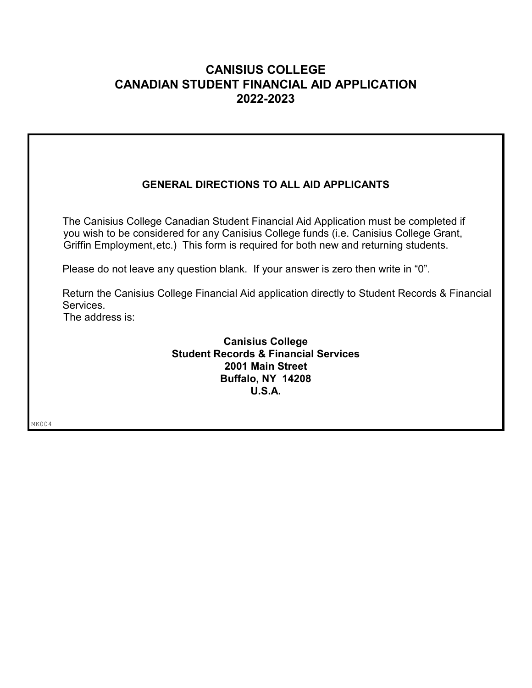## **CANISIUS COLLEGE CANADIAN STUDENT FINANCIAL AID APPLICATION 2022-2023**

## **GENERAL DIRECTIONS TO ALL AID APPLICANTS**

 The Canisius College Canadian Student Financial Aid Application must be completed if you wish to be considered for any Canisius College funds (i.e. Canisius College Grant, Griffin Employment,etc.) This form is required for both new and returning students.

Please do not leave any question blank. If your answer is zero then write in "0".

Return the Canisius College Financial Aid application directly to Student Records & Financial Services.

The address is:

**Canisius College Student Records & Financial Services 2001 Main Street Buffalo, NY 14208 U.S.A.**

MK004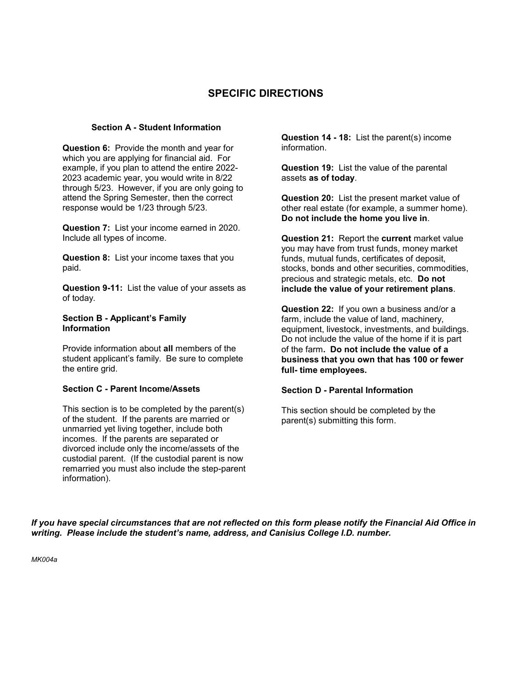### **SPECIFIC DIRECTIONS**

#### **Section A - Student Information**

**Question 6:** Provide the month and year for which you are applying for financial aid. For example, if you plan to attend the entire 2022- 2023 academic year, you would write in 8/22 through 5/23. However, if you are only going to attend the Spring Semester, then the correct response would be 1/23 through 5/23.

**Question 7:** List your income earned in 2020. Include all types of income.

**Question 8:** List your income taxes that you paid.

**Question 9-11:** List the value of your assets as of today.

#### **Section B - Applicant's Family Information**

Provide information about **all** members of the student applicant's family. Be sure to complete the entire grid.

#### **Section C - Parent Income/Assets**

This section is to be completed by the parent(s) of the student. If the parents are married or unmarried yet living together, include both incomes. If the parents are separated or divorced include only the income/assets of the custodial parent. (If the custodial parent is now remarried you must also include the step-parent information).

**Question 14 - 18:** List the parent(s) income information.

**Question 19:** List the value of the parental assets **as of today**.

**Question 20:** List the present market value of other real estate (for example, a summer home). **Do not include the home you live in**.

**Question 21:** Report the **current** market value you may have from trust funds, money market funds, mutual funds, certificates of deposit, stocks, bonds and other securities, commodities, precious and strategic metals, etc. **Do not include the value of your retirement plans**.

**Question 22:** If you own a business and/or a farm, include the value of land, machinery, equipment, livestock, investments, and buildings. Do not include the value of the home if it is part of the farm**. Do not include the value of a business that you own that has 100 or fewer full- time employees.**

#### **Section D - Parental Information**

This section should be completed by the parent(s) submitting this form.

*If you have special circumstances that are not reflected on this form please notify the Financial Aid Office in writing. Please include the student's name, address, and Canisius College I.D. number.*

*MK004a*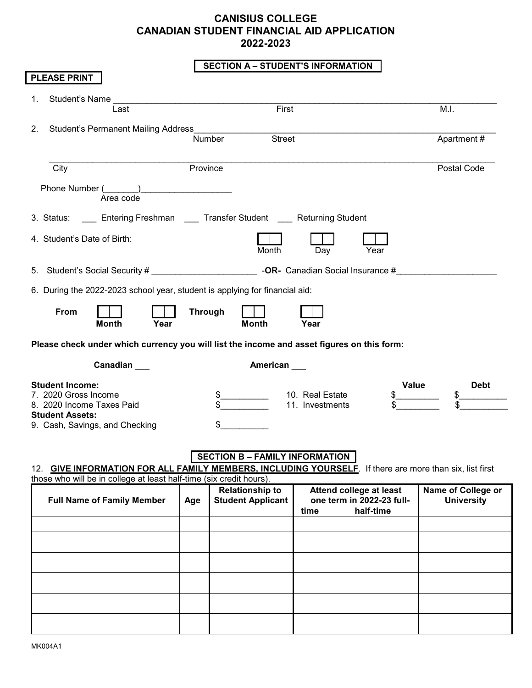## **CANISIUS COLLEGE CANADIAN STUDENT FINANCIAL AID APPLICATION 2022-2023**

### **SECTION A – STUDENT'S INFORMATION**

| <b>PLEASE PRINT</b>                                                                                                                                                            |           |                |                                                    |                                    |                                                                   |                                         |
|--------------------------------------------------------------------------------------------------------------------------------------------------------------------------------|-----------|----------------|----------------------------------------------------|------------------------------------|-------------------------------------------------------------------|-----------------------------------------|
| <b>Student's Name</b><br>1.                                                                                                                                                    | Last      |                | First                                              |                                    |                                                                   | M.I.                                    |
| Student's Permanent Mailing Address<br>2.                                                                                                                                      |           | Number         | <b>Street</b>                                      |                                    |                                                                   | Apartment#                              |
| City                                                                                                                                                                           |           | Province       |                                                    |                                    |                                                                   | Postal Code                             |
| Phone Number (                                                                                                                                                                 | Area code |                |                                                    |                                    |                                                                   |                                         |
| 3. Status: _____ Entering Freshman _____ Transfer Student _____ Returning Student                                                                                              |           |                |                                                    |                                    |                                                                   |                                         |
| 4. Student's Date of Birth:                                                                                                                                                    |           |                | Month                                              | Day                                | Year                                                              |                                         |
| 5. Student's Social Security # <b>COVID-100</b> - OR- Canadian Social Insurance #                                                                                              |           |                |                                                    |                                    |                                                                   |                                         |
| 6. During the 2022-2023 school year, student is applying for financial aid:                                                                                                    |           |                |                                                    |                                    |                                                                   |                                         |
| From<br><b>Month</b>                                                                                                                                                           | Year      | <b>Through</b> | <b>Month</b>                                       | Year                               |                                                                   |                                         |
|                                                                                                                                                                                |           |                |                                                    |                                    |                                                                   |                                         |
| Please check under which currency you will list the income and asset figures on this form:                                                                                     |           |                |                                                    |                                    |                                                                   |                                         |
|                                                                                                                                                                                | Canadian  |                | American                                           |                                    |                                                                   |                                         |
| <b>Student Income:</b><br>7. 2020 Gross Income<br>8. 2020 Income Taxes Paid<br><b>Student Assets:</b><br>9. Cash, Savings, and Checking                                        |           | \$             |                                                    | 10. Real Estate<br>11. Investments | Value                                                             | <b>Debt</b>                             |
| 12. GIVE INFORMATION FOR ALL FAMILY MEMBERS, INCLUDING YOURSELF. If there are more than six, list first<br>those who will be in college at least half-time (six credit hours). |           |                | <b>SECTION B - FAMILY INFORMATION</b>              |                                    |                                                                   |                                         |
| <b>Full Name of Family Member</b>                                                                                                                                              |           | Age            | <b>Relationship to</b><br><b>Student Applicant</b> | time                               | Attend college at least<br>one term in 2022-23 full-<br>half-time | Name of College or<br><b>University</b> |
|                                                                                                                                                                                |           |                |                                                    |                                    |                                                                   |                                         |
|                                                                                                                                                                                |           |                |                                                    |                                    |                                                                   |                                         |
|                                                                                                                                                                                |           |                |                                                    |                                    |                                                                   |                                         |